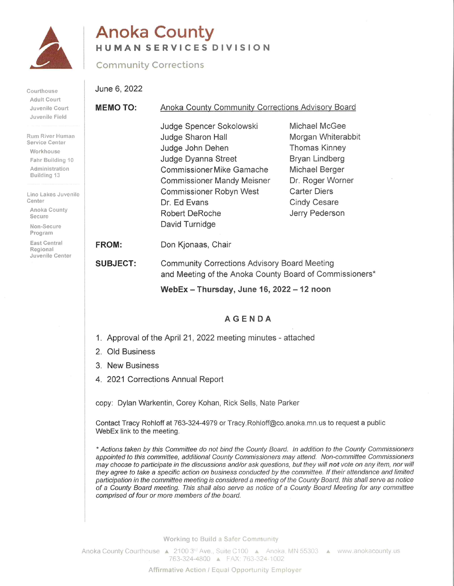

# **Anoka County** HUMAN SERVICES DIVISION

## **Community Corrections**

Courthouse Adult Court Juvenile Cou Juvenile Field

Rum River Hur Service Center Workhouse Fahr Building Administratio Building 13

Lino Lakes Ju Center

Anoka Count Secure

Non-Secure Program

East Central Regional Juvenile Cen June 6, 2022

| ırt                                        | Anoka County Community Corrections Advisory Board<br><b>MEMO TO:</b>                                                    |                                                                                                                                                                                                                                                  |                                                                                                                                                                                                                 |
|--------------------------------------------|-------------------------------------------------------------------------------------------------------------------------|--------------------------------------------------------------------------------------------------------------------------------------------------------------------------------------------------------------------------------------------------|-----------------------------------------------------------------------------------------------------------------------------------------------------------------------------------------------------------------|
| d<br>man<br>r<br>g 10<br>m<br>venile<br>ty |                                                                                                                         | Judge Spencer Sokolowski<br>Judge Sharon Hall<br>Judge John Dehen<br>Judge Dyanna Street<br>Commissioner Mike Gamache<br><b>Commissioner Mandy Meisner</b><br>Commissioner Robyn West<br>Dr. Ed Evans<br><b>Robert DeRoche</b><br>David Turnidge | Michael McGee<br>Morgan Whiterabbit<br>Thomas Kinney<br>Bryan Lindberg<br>Michael Berger<br>Dr. Roger Worner<br><b>Carter Diers</b><br><b>Cindy Cesare</b><br>Jerry Pederson                                    |
|                                            | <b>FROM:</b>                                                                                                            | Don Kjonaas, Chair                                                                                                                                                                                                                               |                                                                                                                                                                                                                 |
| iter                                       | <b>SUBJECT:</b>                                                                                                         | <b>Community Corrections Advisory Board Meeting</b><br>and Meeting of the Anoka County Board of Commissioners*                                                                                                                                   |                                                                                                                                                                                                                 |
|                                            |                                                                                                                         | WebEx - Thursday, June 16, 2022 - 12 noon                                                                                                                                                                                                        |                                                                                                                                                                                                                 |
|                                            |                                                                                                                         | <b>AGENDA</b>                                                                                                                                                                                                                                    |                                                                                                                                                                                                                 |
|                                            | 1. Approval of the April 21, 2022 meeting minutes - attached                                                            |                                                                                                                                                                                                                                                  |                                                                                                                                                                                                                 |
|                                            | 2. Old Business                                                                                                         |                                                                                                                                                                                                                                                  |                                                                                                                                                                                                                 |
|                                            | 3. New Business                                                                                                         |                                                                                                                                                                                                                                                  |                                                                                                                                                                                                                 |
|                                            | 4. 2021 Corrections Annual Report                                                                                       |                                                                                                                                                                                                                                                  |                                                                                                                                                                                                                 |
|                                            | copy: Dylan Warkentin, Corey Kohan, Rick Sells, Nate Parker                                                             |                                                                                                                                                                                                                                                  |                                                                                                                                                                                                                 |
|                                            | Contact Tracy Rohloff at 763-324-4979 or Tracy.Rohloff@co.anoka.mn.us to request a public<br>WebEx link to the meeting. |                                                                                                                                                                                                                                                  |                                                                                                                                                                                                                 |
|                                            |                                                                                                                         |                                                                                                                                                                                                                                                  | * Actions taken by this Committee do not bind the County Board. In addition to the County Commissioners<br>appointed to this committee, additional County Commissioners may attend. Non-committee Commissioners |

missioners may choose to participate in the discussions and/or ask questions, but they will not vote on any item, nor will they agree to take a specific action on business conducted by the committee. If their attendance and limited participation in the committee meeting is considered a meeting of the County Board, this shall serve as notice of a County Board meeting. This shall also serve as notice of a County Board Meeting for any committee comprised of four or more members of the board.

Working to Build a Safer Community

Anoka County Courthouse A 2100 3<sup>rd</sup> Ave., Suite C100 A Anoka, MN 55303 A www.anokacounty.us 763-324-4800 A FAX: 763-324-1002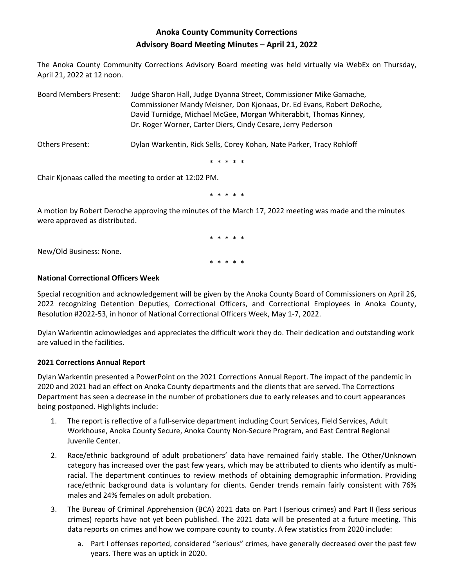## **Anoka County Community Corrections Advisory Board Meeting Minutes – April 21, 2022**

The Anoka County Community Corrections Advisory Board meeting was held virtually via WebEx on Thursday, April 21, 2022 at 12 noon.

Board Members Present: Judge Sharon Hall, Judge Dyanna Street, Commissioner Mike Gamache, Commissioner Mandy Meisner, Don Kjonaas, Dr. Ed Evans, Robert DeRoche, David Turnidge, Michael McGee, Morgan Whiterabbit, Thomas Kinney, Dr. Roger Worner, Carter Diers, Cindy Cesare, Jerry Pederson

Others Present: Dylan Warkentin, Rick Sells, Corey Kohan, Nate Parker, Tracy Rohloff

\* \* \* \* \*

Chair Kjonaas called the meeting to order at 12:02 PM.

\* \* \* \* \*

A motion by Robert Deroche approving the minutes of the March 17, 2022 meeting was made and the minutes were approved as distributed.

> \* \* \* \* \* \* \* \* \* \*

New/Old Business: None.

### **National Correctional Officers Week**

Special recognition and acknowledgement will be given by the Anoka County Board of Commissioners on April 26, 2022 recognizing Detention Deputies, Correctional Officers, and Correctional Employees in Anoka County, Resolution #2022-53, in honor of National Correctional Officers Week, May 1-7, 2022.

Dylan Warkentin acknowledges and appreciates the difficult work they do. Their dedication and outstanding work are valued in the facilities.

#### **2021 Corrections Annual Report**

Dylan Warkentin presented a PowerPoint on the 2021 Corrections Annual Report. The impact of the pandemic in 2020 and 2021 had an effect on Anoka County departments and the clients that are served. The Corrections Department has seen a decrease in the number of probationers due to early releases and to court appearances being postponed. Highlights include:

- 1. The report is reflective of a full-service department including Court Services, Field Services, Adult Workhouse, Anoka County Secure, Anoka County Non-Secure Program, and East Central Regional Juvenile Center.
- 2. Race/ethnic background of adult probationers' data have remained fairly stable. The Other/Unknown category has increased over the past few years, which may be attributed to clients who identify as multiracial. The department continues to review methods of obtaining demographic information. Providing race/ethnic background data is voluntary for clients. Gender trends remain fairly consistent with 76% males and 24% females on adult probation.
- 3. The Bureau of Criminal Apprehension (BCA) 2021 data on Part I (serious crimes) and Part II (less serious crimes) reports have not yet been published. The 2021 data will be presented at a future meeting. This data reports on crimes and how we compare county to county. A few statistics from 2020 include:
	- a. Part I offenses reported, considered "serious" crimes, have generally decreased over the past few years. There was an uptick in 2020.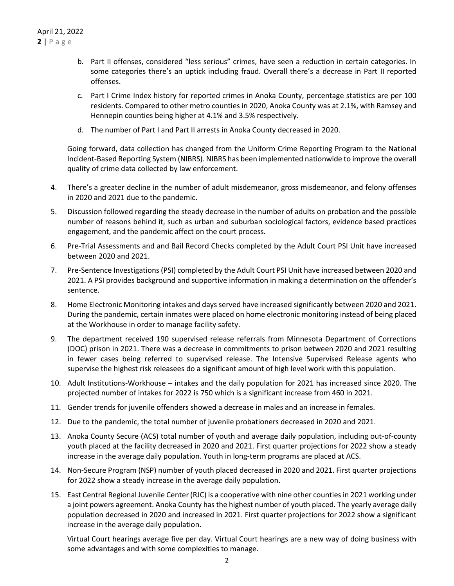- b. Part II offenses, considered "less serious" crimes, have seen a reduction in certain categories. In some categories there's an uptick including fraud. Overall there's a decrease in Part II reported offenses.
- c. Part I Crime Index history for reported crimes in Anoka County, percentage statistics are per 100 residents. Compared to other metro counties in 2020, Anoka County was at 2.1%, with Ramsey and Hennepin counties being higher at 4.1% and 3.5% respectively.
- d. The number of Part I and Part II arrests in Anoka County decreased in 2020.

Going forward, data collection has changed from the Uniform Crime Reporting Program to the National Incident-Based Reporting System (NIBRS). NIBRS has been implemented nationwide to improve the overall quality of crime data collected by law enforcement.

- 4. There's a greater decline in the number of adult misdemeanor, gross misdemeanor, and felony offenses in 2020 and 2021 due to the pandemic.
- 5. Discussion followed regarding the steady decrease in the number of adults on probation and the possible number of reasons behind it, such as urban and suburban sociological factors, evidence based practices engagement, and the pandemic affect on the court process.
- 6. Pre-Trial Assessments and and Bail Record Checks completed by the Adult Court PSI Unit have increased between 2020 and 2021.
- 7. Pre-Sentence Investigations (PSI) completed by the Adult Court PSI Unit have increased between 2020 and 2021. A PSI provides background and supportive information in making a determination on the offender's sentence.
- 8. Home Electronic Monitoring intakes and days served have increased significantly between 2020 and 2021. During the pandemic, certain inmates were placed on home electronic monitoring instead of being placed at the Workhouse in order to manage facility safety.
- 9. The department received 190 supervised release referrals from Minnesota Department of Corrections (DOC) prison in 2021. There was a decrease in commitments to prison between 2020 and 2021 resulting in fewer cases being referred to supervised release. The Intensive Supervised Release agents who supervise the highest risk releasees do a significant amount of high level work with this population.
- 10. Adult Institutions-Workhouse intakes and the daily population for 2021 has increased since 2020. The projected number of intakes for 2022 is 750 which is a significant increase from 460 in 2021.
- 11. Gender trends for juvenile offenders showed a decrease in males and an increase in females.
- 12. Due to the pandemic, the total number of juvenile probationers decreased in 2020 and 2021.
- 13. Anoka County Secure (ACS) total number of youth and average daily population, including out-of-county youth placed at the facility decreased in 2020 and 2021. First quarter projections for 2022 show a steady increase in the average daily population. Youth in long-term programs are placed at ACS.
- 14. Non-Secure Program (NSP) number of youth placed decreased in 2020 and 2021. First quarter projections for 2022 show a steady increase in the average daily population.
- 15. East Central Regional Juvenile Center (RJC) is a cooperative with nine other countiesin 2021 working under a joint powers agreement. Anoka County has the highest number of youth placed. The yearly average daily population decreased in 2020 and increased in 2021. First quarter projections for 2022 show a significant increase in the average daily population.

Virtual Court hearings average five per day. Virtual Court hearings are a new way of doing business with some advantages and with some complexities to manage.